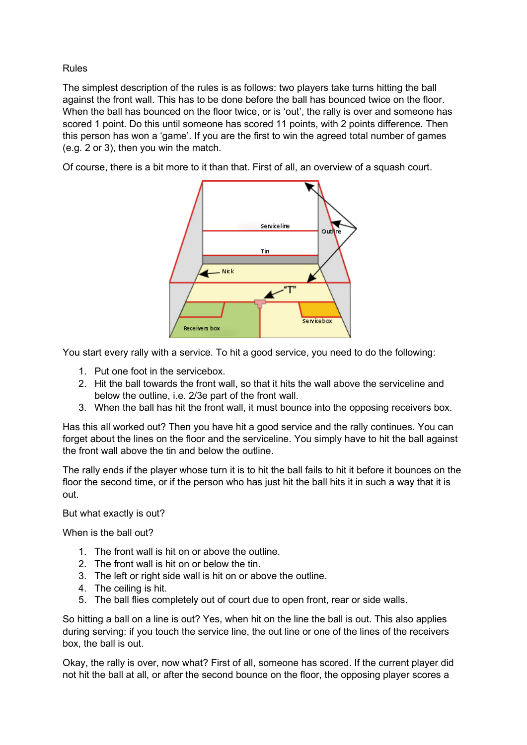Rules

The simplest description of the rules is as follows: two players take turns hitting the ball against the front wall. This has to be done before the ball has bounced twice on the floor. When the ball has bounced on the floor twice, or is 'out', the rally is over and someone has scored 1 point. Do this until someone has scored 11 points, with 2 points difference. Then this person has won a 'game'. If you are the first to win the agreed total number of games (e.g. 2 or 3), then you win the match.

Of course, there is a bit more to it than that. First of all, an overview of a squash court.



You start every rally with a service. To hit a good service, you need to do the following:

- 1. Put one foot in the servicebox.
- 2. Hit the ball towards the front wall, so that it hits the wall above the serviceline and below the outline, i.e. 2/3e part of the front wall.
- 3. When the ball has hit the front wall, it must bounce into the opposing receivers box.

Has this all worked out? Then you have hit a good service and the rally continues. You can forget about the lines on the floor and the serviceline. You simply have to hit the ball against the front wall above the tin and below the outline.

The rally ends if the player whose turn it is to hit the ball fails to hit it before it bounces on the floor the second time, or if the person who has just hit the ball hits it in such a way that it is out.

But what exactly is out?

When is the ball out?

- 1. The front wall is hit on or above the outline.
- 2. The front wall is hit on or below the tin.
- 3. The left or right side wall is hit on or above the outline.
- 4. The ceiling is hit.
- 5. The ball flies completely out of court due to open front, rear or side walls.

So hitting a ball on a line is out? Yes, when hit on the line the ball is out. This also applies during serving: if you touch the service line, the out line or one of the lines of the receivers box, the ball is out.

Okay, the rally is over, now what? First of all, someone has scored. If the current player did not hit the ball at all, or after the second bounce on the floor, the opposing player scores a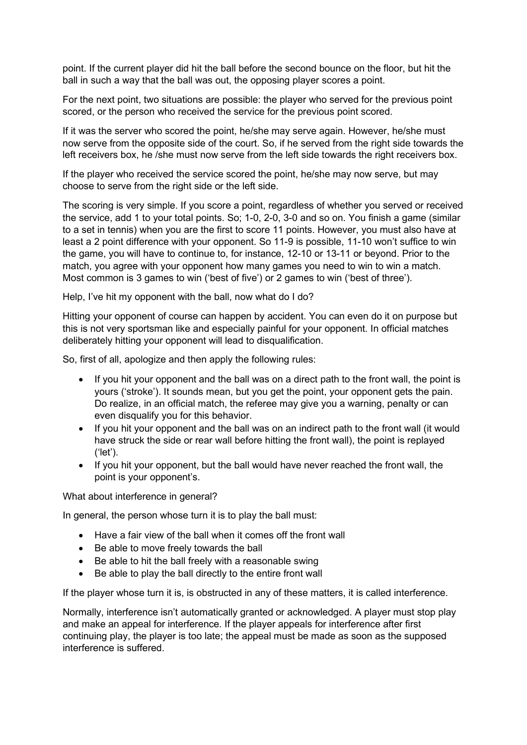point. If the current player did hit the ball before the second bounce on the floor, but hit the ball in such a way that the ball was out, the opposing player scores a point.

For the next point, two situations are possible: the player who served for the previous point scored, or the person who received the service for the previous point scored.

If it was the server who scored the point, he/she may serve again. However, he/she must now serve from the opposite side of the court. So, if he served from the right side towards the left receivers box, he /she must now serve from the left side towards the right receivers box.

If the player who received the service scored the point, he/she may now serve, but may choose to serve from the right side or the left side.

The scoring is very simple. If you score a point, regardless of whether you served or received the service, add 1 to your total points. So; 1-0, 2-0, 3-0 and so on. You finish a game (similar to a set in tennis) when you are the first to score 11 points. However, you must also have at least a 2 point difference with your opponent. So 11-9 is possible, 11-10 won't suffice to win the game, you will have to continue to, for instance, 12-10 or 13-11 or beyond. Prior to the match, you agree with your opponent how many games you need to win to win a match. Most common is 3 games to win ('best of five') or 2 games to win ('best of three').

Help, I've hit my opponent with the ball, now what do I do?

Hitting your opponent of course can happen by accident. You can even do it on purpose but this is not very sportsman like and especially painful for your opponent. In official matches deliberately hitting your opponent will lead to disqualification.

So, first of all, apologize and then apply the following rules:

- If you hit your opponent and the ball was on a direct path to the front wall, the point is yours ('stroke'). It sounds mean, but you get the point, your opponent gets the pain. Do realize, in an official match, the referee may give you a warning, penalty or can even disqualify you for this behavior.
- If you hit your opponent and the ball was on an indirect path to the front wall (it would have struck the side or rear wall before hitting the front wall), the point is replayed ('let').
- If you hit your opponent, but the ball would have never reached the front wall, the point is your opponent's.

What about interference in general?

In general, the person whose turn it is to play the ball must:

- Have a fair view of the ball when it comes off the front wall
- Be able to move freely towards the ball
- Be able to hit the ball freely with a reasonable swing
- Be able to play the ball directly to the entire front wall

If the player whose turn it is, is obstructed in any of these matters, it is called interference.

Normally, interference isn't automatically granted or acknowledged. A player must stop play and make an appeal for interference. If the player appeals for interference after first continuing play, the player is too late; the appeal must be made as soon as the supposed interference is suffered.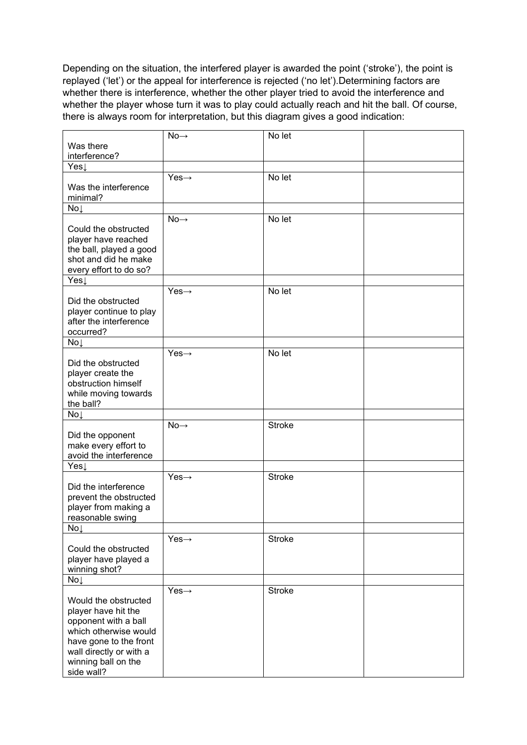Depending on the situation, the interfered player is awarded the point ('stroke'), the point is replayed ('let') or the appeal for interference is rejected ('no let').Determining factors are whether there is interference, whether the other player tried to avoid the interference and whether the player whose turn it was to play could actually reach and hit the ball. Of course, there is always room for interpretation, but this diagram gives a good indication:

|                                             | $No \rightarrow$  | No let        |  |
|---------------------------------------------|-------------------|---------------|--|
| Was there                                   |                   |               |  |
| interference?                               |                   |               |  |
| Yes↓                                        |                   |               |  |
|                                             | $Yes \rightarrow$ | No let        |  |
| Was the interference                        |                   |               |  |
| minimal?                                    |                   |               |  |
| No↓                                         |                   |               |  |
|                                             | $No \rightarrow$  | No let        |  |
| Could the obstructed                        |                   |               |  |
| player have reached                         |                   |               |  |
| the ball, played a good                     |                   |               |  |
| shot and did he make                        |                   |               |  |
| every effort to do so?                      |                   |               |  |
| Yes                                         |                   |               |  |
|                                             | $Yes \rightarrow$ | No let        |  |
| Did the obstructed                          |                   |               |  |
| player continue to play                     |                   |               |  |
| after the interference                      |                   |               |  |
| occurred?                                   |                   |               |  |
| No↓                                         | $Yes \rightarrow$ | No let        |  |
| Did the obstructed                          |                   |               |  |
| player create the                           |                   |               |  |
| obstruction himself                         |                   |               |  |
| while moving towards                        |                   |               |  |
| the ball?                                   |                   |               |  |
| No                                          |                   |               |  |
|                                             | $No \rightarrow$  | <b>Stroke</b> |  |
| Did the opponent                            |                   |               |  |
| make every effort to                        |                   |               |  |
| avoid the interference                      |                   |               |  |
| Yes↓                                        |                   |               |  |
|                                             | $Yes \rightarrow$ | <b>Stroke</b> |  |
| Did the interference                        |                   |               |  |
| prevent the obstructed                      |                   |               |  |
| player from making a                        |                   |               |  |
| reasonable swing                            |                   |               |  |
| $No+$                                       |                   |               |  |
|                                             | $Yes \rightarrow$ | <b>Stroke</b> |  |
| Could the obstructed                        |                   |               |  |
| player have played a                        |                   |               |  |
| winning shot?                               |                   |               |  |
| No                                          |                   |               |  |
| Would the obstructed                        | $Yes \rightarrow$ | <b>Stroke</b> |  |
|                                             |                   |               |  |
| player have hit the<br>opponent with a ball |                   |               |  |
| which otherwise would                       |                   |               |  |
| have gone to the front                      |                   |               |  |
| wall directly or with a                     |                   |               |  |
| winning ball on the                         |                   |               |  |
| side wall?                                  |                   |               |  |